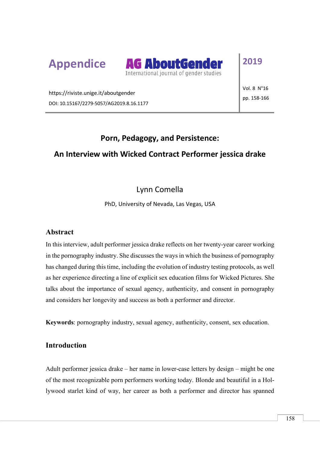



# **2019**

https://riviste.unige.it/aboutgender DOI: 10.15167/2279-5057/AG2019.8.16.1177 Vol. 8 N°16 pp. 158-166

### **Porn, Pedagogy, and Persistence:**

### **An Interview with Wicked Contract Performer jessica drake**

#### Lynn Comella

PhD, University of Nevada, Las Vegas, USA

#### **Abstract**

In this interview, adult performer jessica drake reflects on her twenty-year career working in the pornography industry. She discusses the ways in which the business of pornography has changed during this time, including the evolution of industry testing protocols, as well as her experience directing a line of explicit sex education films for Wicked Pictures. She talks about the importance of sexual agency, authenticity, and consent in pornography and considers her longevity and success as both a performer and director.

**Keywords**: pornography industry, sexual agency, authenticity, consent, sex education.

#### **Introduction**

Adult performer jessica drake – her name in lower-case letters by design – might be one of the most recognizable porn performers working today. Blonde and beautiful in a Hollywood starlet kind of way, her career as both a performer and director has spanned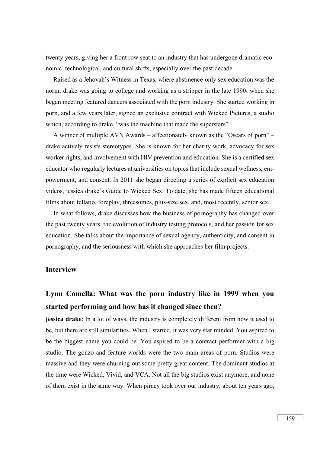twenty years, giving her a front row seat to an industry that has undergone dramatic economic, technological, and cultural shifts, especially over the past decade.

Raised as a Jehovah's Witness in Texas, where abstinence-only sex education was the norm, drake was going to college and working as a stripper in the late  $1990<sub>s</sub>$  when she began meeting featured dancers associated with the porn industry. She started working in porn, and a few years later, signed an exclusive contract with Wicked Pictures, a studio which, according to drake, "was the machine that made the superstars".

A winner of multiple AVN Awards – affectionately known as the "Oscars of porn" – drake actively resists stereotypes. She is known for her charity work, advocacy for sex worker rights, and involvement with HIV prevention and education. She is a certified sex educator who regularly lectures at universities on topics that include sexual wellness, empowerment, and consent. In 2011 she began directing a series of explicit sex education videos, jessica drake's Guide to Wicked Sex. To date, she has made fifteen educational films about fellatio, foreplay, threesomes, plus-size sex, and, most recently, senior sex.

In what follows, drake discusses how the business of pornography has changed over the past twenty years, the evolution of industry testing protocols, and her passion for sex education. She talks about the importance of sexual agency, authenticity, and consent in pornography, and the seriousness with which she approaches her film projects.

#### **Interview**

## **Lynn Comella: What was the porn industry like in 1999 when you started performing and how has it changed since then?**

**jessica drake**: In a lot of ways, the industry is completely different from how it used to be, but there are still similarities. When I started, it was very star minded. You aspired to be the biggest name you could be. You aspired to be a contract performer with a big studio. The gonzo and feature worlds were the two main areas of porn. Studios were massive and they were churning out some pretty great content. The dominant studios at the time were Wicked, Vivid, and VCA. Not all the big studios exist anymore, and none of them exist in the same way. When piracy took over our industry, about ten years ago,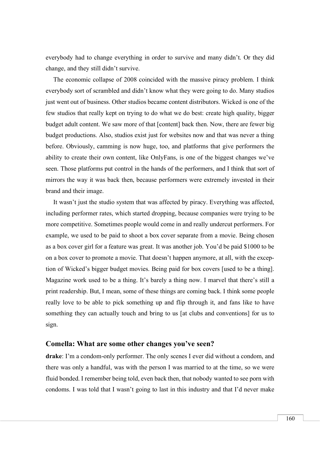everybody had to change everything in order to survive and many didn't. Or they did change, and they still didn't survive.

The economic collapse of 2008 coincided with the massive piracy problem. I think everybody sort of scrambled and didn't know what they were going to do. Many studios just went out of business. Other studios became content distributors. Wicked is one of the few studios that really kept on trying to do what we do best: create high quality, bigger budget adult content. We saw more of that [content] back then. Now, there are fewer big budget productions. Also, studios exist just for websites now and that was never a thing before. Obviously, camming is now huge, too, and platforms that give performers the ability to create their own content, like OnlyFans, is one of the biggest changes we've seen. Those platforms put control in the hands of the performers, and I think that sort of mirrors the way it was back then, because performers were extremely invested in their brand and their image.

It wasn't just the studio system that was affected by piracy. Everything was affected, including performer rates, which started dropping, because companies were trying to be more competitive. Sometimes people would come in and really undercut performers. For example, we used to be paid to shoot a box cover separate from a movie. Being chosen as a box cover girl for a feature was great. It was another job. You'd be paid \$1000 to be on a box cover to promote a movie. That doesn't happen anymore, at all, with the exception of Wicked's bigger budget movies. Being paid for box covers [used to be a thing]. Magazine work used to be a thing. It's barely a thing now. I marvel that there's still a print readership. But, I mean, some of these things are coming back. I think some people really love to be able to pick something up and flip through it, and fans like to have something they can actually touch and bring to us [at clubs and conventions] for us to sign.

#### **Comella: What are some other changes you've seen?**

**drake**: I'm a condom-only performer. The only scenes I ever did without a condom, and there was only a handful, was with the person I was married to at the time, so we were fluid bonded. I remember being told, even back then, that nobody wanted to see porn with condoms. I was told that I wasn't going to last in this industry and that I'd never make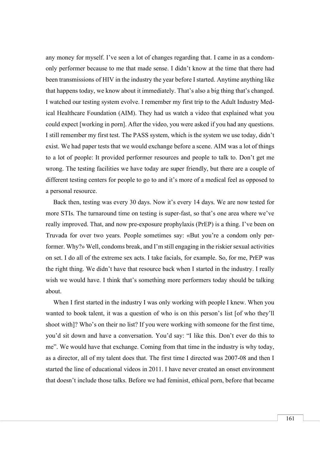any money for myself. I've seen a lot of changes regarding that. I came in as a condomonly performer because to me that made sense. I didn't know at the time that there had been transmissions of HIV in the industry the year before I started. Anytime anything like that happens today, we know about it immediately. That's also a big thing that's changed. I watched our testing system evolve. I remember my first trip to the Adult Industry Medical Healthcare Foundation (AIM). They had us watch a video that explained what you could expect [working in porn]. After the video, you were asked if you had any questions. I still remember my first test. The PASS system, which is the system we use today, didn't exist. We had paper tests that we would exchange before a scene. AIM was a lot of things to a lot of people: It provided performer resources and people to talk to. Don't get me wrong. The testing facilities we have today are super friendly, but there are a couple of different testing centers for people to go to and it's more of a medical feel as opposed to a personal resource.

Back then, testing was every 30 days. Now it's every 14 days. We are now tested for more STIs. The turnaround time on testing is super-fast, so that's one area where we've really improved. That, and now pre-exposure prophylaxis (PrEP) is a thing. I've been on Truvada for over two years. People sometimes say: «But you're a condom only performer. Why?» Well, condoms break, and I'm still engaging in the riskier sexual activities on set. I do all of the extreme sex acts. I take facials, for example. So, for me, PrEP was the right thing. We didn't have that resource back when I started in the industry. I really wish we would have. I think that's something more performers today should be talking about.

When I first started in the industry I was only working with people I knew. When you wanted to book talent, it was a question of who is on this person's list [of who they'll shoot with]? Who's on their no list? If you were working with someone for the first time, you'd sit down and have a conversation. You'd say: "I like this. Don't ever do this to me". We would have that exchange. Coming from that time in the industry is why today, as a director, all of my talent does that. The first time I directed was 2007-08 and then I started the line of educational videos in 2011. I have never created an onset environment that doesn't include those talks. Before we had feminist, ethical porn, before that became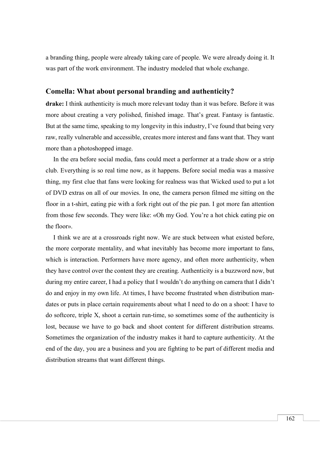a branding thing, people were already taking care of people. We were already doing it. It was part of the work environment. The industry modeled that whole exchange.

#### **Comella: What about personal branding and authenticity?**

**drake:** I think authenticity is much more relevant today than it was before. Before it was more about creating a very polished, finished image. That's great. Fantasy is fantastic. But at the same time, speaking to my longevity in this industry, I've found that being very raw, really vulnerable and accessible, creates more interest and fans want that. They want more than a photoshopped image.

In the era before social media, fans could meet a performer at a trade show or a strip club. Everything is so real time now, as it happens. Before social media was a massive thing, my first clue that fans were looking for realness was that Wicked used to put a lot of DVD extras on all of our movies. In one, the camera person filmed me sitting on the floor in a t-shirt, eating pie with a fork right out of the pie pan. I got more fan attention from those few seconds. They were like: «Oh my God. You're a hot chick eating pie on the floor».

I think we are at a crossroads right now. We are stuck between what existed before, the more corporate mentality, and what inevitably has become more important to fans, which is interaction. Performers have more agency, and often more authenticity, when they have control over the content they are creating. Authenticity is a buzzword now, but during my entire career, I had a policy that I wouldn't do anything on camera that I didn't do and enjoy in my own life. At times, I have become frustrated when distribution mandates or puts in place certain requirements about what I need to do on a shoot: I have to do softcore, triple X, shoot a certain run-time, so sometimes some of the authenticity is lost, because we have to go back and shoot content for different distribution streams. Sometimes the organization of the industry makes it hard to capture authenticity. At the end of the day, you are a business and you are fighting to be part of different media and distribution streams that want different things.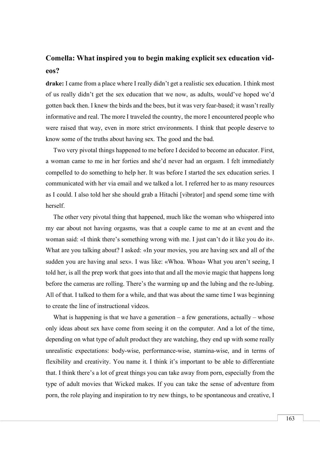## **Comella: What inspired you to begin making explicit sex education videos?**

**drake:** I came from a place where I really didn't get a realistic sex education. I think most of us really didn't get the sex education that we now, as adults, would've hoped we'd gotten back then. I knew the birds and the bees, but it was very fear-based; it wasn't really informative and real. The more I traveled the country, the more I encountered people who were raised that way, even in more strict environments. I think that people deserve to know some of the truths about having sex. The good and the bad.

Two very pivotal things happened to me before I decided to become an educator. First, a woman came to me in her forties and she'd never had an orgasm. I felt immediately compelled to do something to help her. It was before I started the sex education series. I communicated with her via email and we talked a lot. I referred her to as many resources as I could. I also told her she should grab a Hitachi [vibrator] and spend some time with herself.

The other very pivotal thing that happened, much like the woman who whispered into my ear about not having orgasms, was that a couple came to me at an event and the woman said: «I think there's something wrong with me. I just can't do it like you do it». What are you talking about? I asked: «In your movies, you are having sex and all of the sudden you are having anal sex». I was like: «Whoa. Whoa» What you aren't seeing, I told her, is all the prep work that goes into that and all the movie magic that happens long before the cameras are rolling. There's the warming up and the lubing and the re-lubing. All of that. I talked to them for a while, and that was about the same time I was beginning to create the line of instructional videos.

What is happening is that we have a generation  $-$  a few generations, actually  $-$  whose only ideas about sex have come from seeing it on the computer. And a lot of the time, depending on what type of adult product they are watching, they end up with some really unrealistic expectations: body-wise, performance-wise, stamina-wise, and in terms of flexibility and creativity. You name it. I think it's important to be able to differentiate that. I think there's a lot of great things you can take away from porn, especially from the type of adult movies that Wicked makes. If you can take the sense of adventure from porn, the role playing and inspiration to try new things, to be spontaneous and creative, I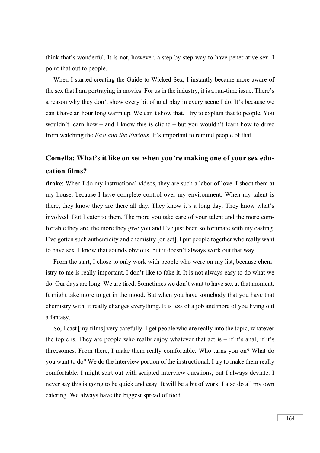think that's wonderful. It is not, however, a step-by-step way to have penetrative sex. I point that out to people.

When I started creating the Guide to Wicked Sex, I instantly became more aware of the sex that I am portraying in movies. For us in the industry, it is a run-time issue. There's a reason why they don't show every bit of anal play in every scene I do. It's because we can't have an hour long warm up. We can't show that. I try to explain that to people. You wouldn't learn how – and I know this is cliché – but you wouldn't learn how to drive from watching the *Fast and the Furious*. It's important to remind people of that.

## **Comella: What's it like on set when you're making one of your sex education films?**

**drake**: When I do my instructional videos, they are such a labor of love. I shoot them at my house, because I have complete control over my environment. When my talent is there, they know they are there all day. They know it's a long day. They know what's involved. But I cater to them. The more you take care of your talent and the more comfortable they are, the more they give you and I've just been so fortunate with my casting. I've gotten such authenticity and chemistry [on set]. I put people together who really want to have sex. I know that sounds obvious, but it doesn't always work out that way.

From the start, I chose to only work with people who were on my list, because chemistry to me is really important. I don't like to fake it. It is not always easy to do what we do. Our days are long. We are tired. Sometimes we don't want to have sex at that moment. It might take more to get in the mood. But when you have somebody that you have that chemistry with, it really changes everything. It is less of a job and more of you living out a fantasy.

So, I cast [my films] very carefully. I get people who are really into the topic, whatever the topic is. They are people who really enjoy whatever that act is  $-$  if it's anal, if it's threesomes. From there, I make them really comfortable. Who turns you on? What do you want to do? We do the interview portion of the instructional. I try to make them really comfortable. I might start out with scripted interview questions, but I always deviate. I never say this is going to be quick and easy. It will be a bit of work. I also do all my own catering. We always have the biggest spread of food.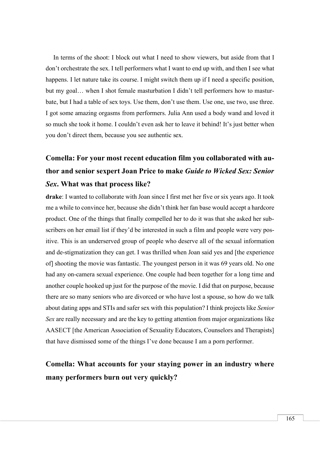In terms of the shoot: I block out what I need to show viewers, but aside from that I don't orchestrate the sex. I tell performers what I want to end up with, and then I see what happens. I let nature take its course. I might switch them up if I need a specific position, but my goal… when I shot female masturbation I didn't tell performers how to masturbate, but I had a table of sex toys. Use them, don't use them. Use one, use two, use three. I got some amazing orgasms from performers. Julia Ann used a body wand and loved it so much she took it home. I couldn't even ask her to leave it behind! It's just better when you don't direct them, because you see authentic sex.

# **Comella: For your most recent education film you collaborated with author and senior sexpert Joan Price to make** *Guide to Wicked Sex: Senior Sex***. What was that process like?**

**drake**: I wanted to collaborate with Joan since I first met her five or six years ago. It took me a while to convince her, because she didn't think her fan base would accept a hardcore product. One of the things that finally compelled her to do it was that she asked her subscribers on her email list if they'd be interested in such a film and people were very positive. This is an underserved group of people who deserve all of the sexual information and de-stigmatization they can get. I was thrilled when Joan said yes and [the experience of] shooting the movie was fantastic. The youngest person in it was 69 years old. No one had any on-camera sexual experience. One couple had been together for a long time and another couple hooked up just for the purpose of the movie. I did that on purpose, because there are so many seniors who are divorced or who have lost a spouse, so how do we talk about dating apps and STIs and safer sex with this population? I think projects like *Senior Sex* are really necessary and are the key to getting attention from major organizations like AASECT [the American Association of Sexuality Educators, Counselors and Therapists] that have dismissed some of the things I've done because I am a porn performer.

## **Comella: What accounts for your staying power in an industry where many performers burn out very quickly?**